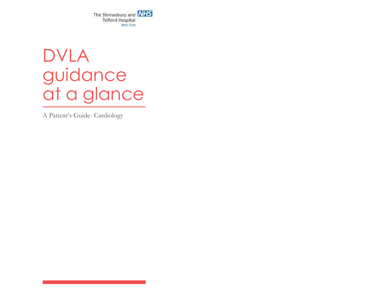The Shrewsbury and **NHS Telford Hospital** NH5 Trust

# DVLA guidance at a glance

A Patient's Guide- Cardiology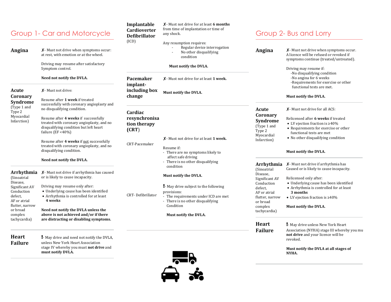# Group 1- Car and Motorcycle

**Angina** ✘- Must not drive when symptoms occur: at rest, with emotion or at the wheel.

> Driving may resume after satisfactory Symptom control.

#### **Need not notify the DVLA.**

**Acute**  ✘- Must not drive:

**Coronary** 

(Type 1 and Type 2 Myocardial Infarction)

(Sinoatrial Disease, Significant AV Conduction defect, AF or atrial flutter, narrow or broad complex tachycardia)

**Syndrome** Resume after **1 week** if treated

successfully with coronary angioplasty and no disqualifying condition.

Resume after **4 weeks** if successfully treated with coronary angioplasty, and no disqualifying condition but left heart failure (EF <40%)

Resume after **4 weeks** if not successfully treated with coronary angioplasty, and no disqualifying condition.

#### **Need not notify the DVLA.**

Arrhythmia X - Must not drive if arrhythmia has caused or is likely to cause incapacity.

Driving may resume only after:

 Underlying cause has been identified Arrhythmia is controlled for at least **4 weeks**

**Need not notify the DVLA unless the above is not achieved and/or if there are distracting or disabling symptoms.**

**Heart Failure** !- May drive and need not notify the DVLA, unless New York Heart Association stage IV whereby you must **not drive** and **must notify DVLA.** 

#### **Implantable Cardioverter Defibrillator** (ICD)

from time of implantation or time of any shock.

- Any resumption requires:
- Regular device interrogation
	- No other disqualifying condition

✘- Must not drive for at least **6 months**

#### **Must notify the DVLA.**

**Pacemaker implantincluding box change** ✘- Must not drive for at least **1 week. Must notify the DVLA.**

#### **Cardiac resynchronisa tion therapy (CRT**)

CRT- Defibrillator

✘- Must not drive for at least **1 week.**

#### CRT-Pacemaker Resume if:

- There are no symptoms likely to affect safe driving - There is no other disqualifying
- condition

#### **Must notify the DVLA.**

!- May drive subject to the following provisions:

- The requirements under ICD are met - There is no other disqualifying Condition

#### **Must notify the DVLA.**



### Group 2- Bus and Lorry

| Angina                      | $X$ -Must not drive when symptoms occur.<br>A licence will be refused or revoked if<br>symptoms continue (treated/untreated).                       |
|-----------------------------|-----------------------------------------------------------------------------------------------------------------------------------------------------|
|                             | Driving may resume if:<br>-No disqualifying condition<br>-No angina for 6 weeks<br>-Requirements for exercise or other<br>functional tests are met. |
|                             | Must notify the DVLA.                                                                                                                               |
| <b>Acute</b>                | X - Must not drive for all ACS:                                                                                                                     |
| Coronary                    | Relicensed after <b>6 weeks</b> if treated                                                                                                          |
| Syndrome                    | • LV ejection fraction is $\geq 40\%$                                                                                                               |
| (Type 1 and                 | • Requirements for exercise or other                                                                                                                |
| Type 2                      | functional tests are met                                                                                                                            |
| Myocardial<br>Infarction)   | • No other disqualifying condition                                                                                                                  |
|                             | <b>Must notify the DVLA.</b>                                                                                                                        |
| Arrhythmia                  | $X$ - Must not drive if arrhythmia has                                                                                                              |
| (Sinoatrial<br>Disease,     | Caused or is likely to cause incapacity.                                                                                                            |
| Significant AV              | Relicensed only after:                                                                                                                              |
| Conduction                  | • Underlying cause has been identified                                                                                                              |
| defect.                     | • Arrhythmia is controlled for at least                                                                                                             |
| AF or atrial                | 3 months                                                                                                                                            |
| flutter, narrow<br>or broad | • LV ejection fraction is $\geq 40\%$                                                                                                               |
| complex<br>tachycardia)     | Must notify the DVLA.                                                                                                                               |
| <b>Heart</b>                | - May drive unless New York Heart                                                                                                                   |
| <b>Failure</b>              | Association (NYHA) stage III whereby you mu<br>not drive and your licence will be<br>revoked.                                                       |
|                             | Must notify the DVLA at all stages of<br>NYHA.                                                                                                      |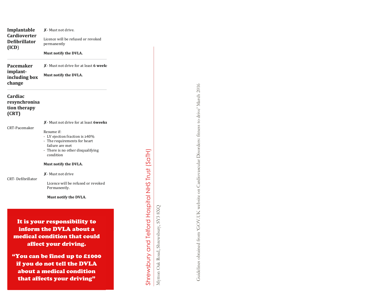**Implantable Cardioverter Defibrillator (ICD** ) ✘ - Must not drive. Licence will be refused or revoked permanently **Must notify the DVLA. Pacemaker implant including box change** ✘ - Must not drive for at least **6 weeks. Must notify the DVLA. Cardiac resynchronisa tion therapy (CRT)** CRT -Pacemaker CRT - Defibrillator ✘ - Must not drive for at least **6weeks** Resume if: - LV ejection fraction is ≥40% - The requirements for heart failure are met - There is no other disqualifying condition **Must notify the DVLA.** ✘- Must not drive Licence will be refused or revoked Permanently. **Must notify the DVLA.** It is your responsibility to inform the DVLA about a medical condition that could affect your driving. "You can be fined up to £1000 if you do not tell the DVLA about a medical condition that affects your driving "

Mytton Oak Road, Shrewsbury, SY3 8XQ

Shrewsbury and Telford Hospital NHS Trust (SaTH)

Mytton Oak Road, Shrewsbury, SY3 8XQ

Shrewsbury and Telford Hospital NHS Trust (SaTH)

Guidelines obtained from 'GOV.UK website on Cardiovascular Disorders: fitness to drive' March 2016 Guidelines obtained from 'GOV.UK website on Cardiovascular Disorders: fitness to drive' March 2016